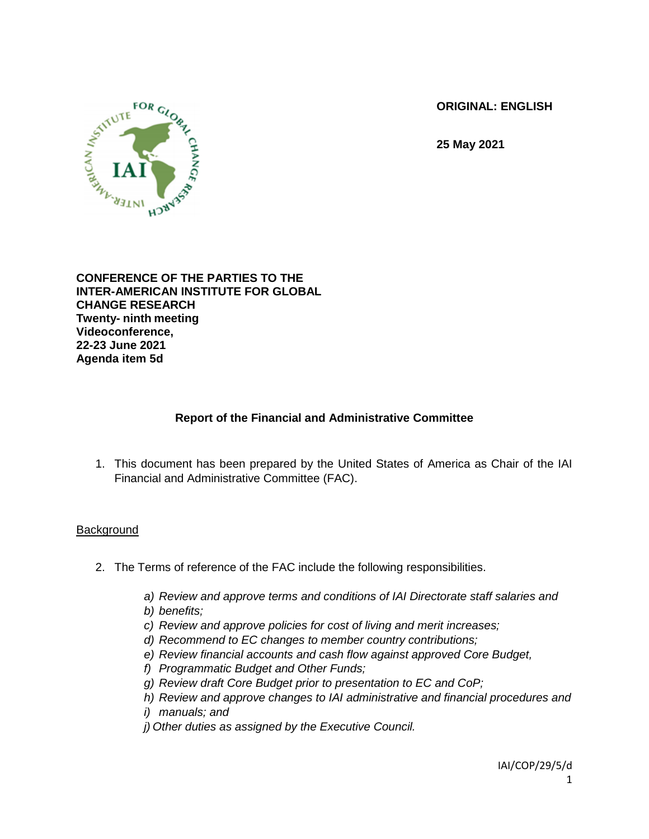**ORIGINAL: ENGLISH**

**25 May 2021**



**CONFERENCE OF THE PARTIES TO THE INTER-AMERICAN INSTITUTE FOR GLOBAL CHANGE RESEARCH Twenty- ninth meeting Videoconference, 22-23 June 2021 Agenda item 5d**

# **Report of the Financial and Administrative Committee**

1. This document has been prepared by the United States of America as Chair of the IAI Financial and Administrative Committee (FAC).

## **Background**

- 2. The Terms of reference of the FAC include the following responsibilities.
	- *a) Review and approve terms and conditions of IAI Directorate staff salaries and b) benefits;*
	- *c) Review and approve policies for cost of living and merit increases;*
	- *d) Recommend to EC changes to member country contributions;*
	- *e) Review financial accounts and cash flow against approved Core Budget,*
	- *f) Programmatic Budget and Other Funds;*
	- *g) Review draft Core Budget prior to presentation to EC and CoP;*
	- *h) Review and approve changes to IAI administrative and financial procedures and*
	- *i) manuals; and*
	- *j) Other duties as assigned by the Executive Council.*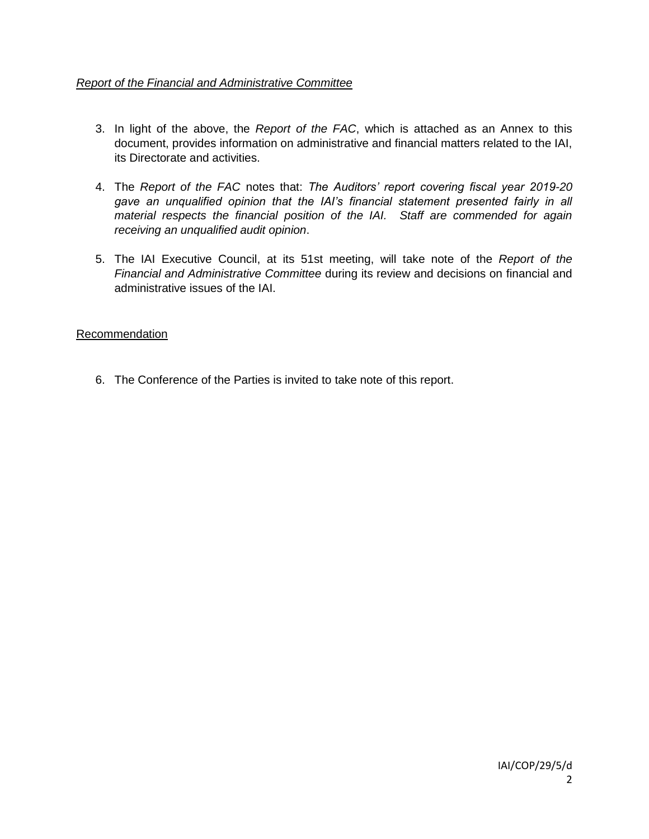## *Report of the Financial and Administrative Committee*

- 3. In light of the above, the *Report of the FAC*, which is attached as an Annex to this document, provides information on administrative and financial matters related to the IAI, its Directorate and activities.
- 4. The *Report of the FAC* notes that: *The Auditors' report covering fiscal year 2019-20 gave an unqualified opinion that the IAI's financial statement presented fairly in all material respects the financial position of the IAI. Staff are commended for again receiving an unqualified audit opinion*.
- 5. The IAI Executive Council, at its 51st meeting, will take note of the *Report of the Financial and Administrative Committee* during its review and decisions on financial and administrative issues of the IAI.

#### Recommendation

6. The Conference of the Parties is invited to take note of this report.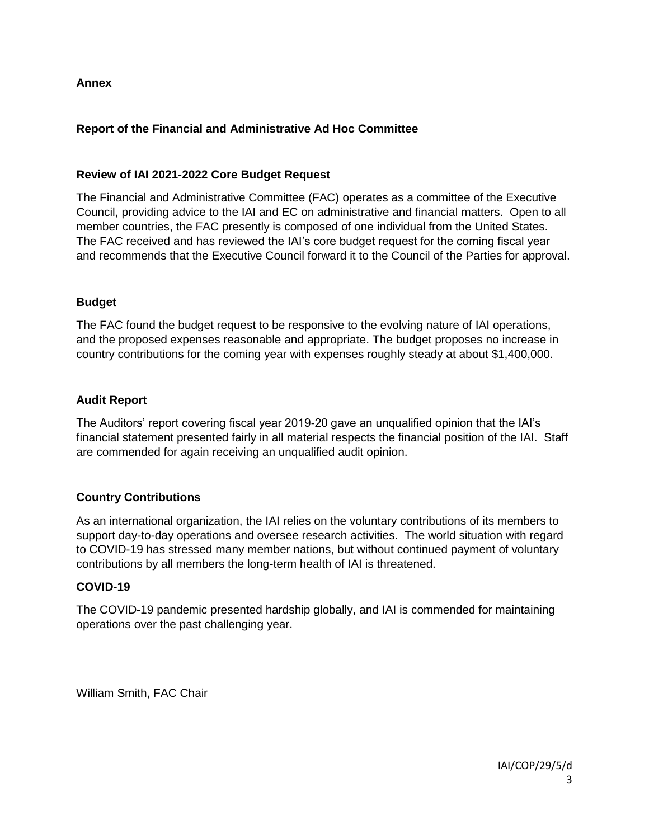### **Annex**

## **Report of the Financial and Administrative Ad Hoc Committee**

#### **Review of IAI 2021-2022 Core Budget Request**

The Financial and Administrative Committee (FAC) operates as a committee of the Executive Council, providing advice to the IAI and EC on administrative and financial matters. Open to all member countries, the FAC presently is composed of one individual from the United States. The FAC received and has reviewed the IAI's core budget request for the coming fiscal year and recommends that the Executive Council forward it to the Council of the Parties for approval.

#### **Budget**

The FAC found the budget request to be responsive to the evolving nature of IAI operations, and the proposed expenses reasonable and appropriate. The budget proposes no increase in country contributions for the coming year with expenses roughly steady at about \$1,400,000.

#### **Audit Report**

The Auditors' report covering fiscal year 2019-20 gave an unqualified opinion that the IAI's financial statement presented fairly in all material respects the financial position of the IAI. Staff are commended for again receiving an unqualified audit opinion.

#### **Country Contributions**

As an international organization, the IAI relies on the voluntary contributions of its members to support day-to-day operations and oversee research activities. The world situation with regard to COVID-19 has stressed many member nations, but without continued payment of voluntary contributions by all members the long-term health of IAI is threatened.

#### **COVID-19**

The COVID-19 pandemic presented hardship globally, and IAI is commended for maintaining operations over the past challenging year.

William Smith, FAC Chair